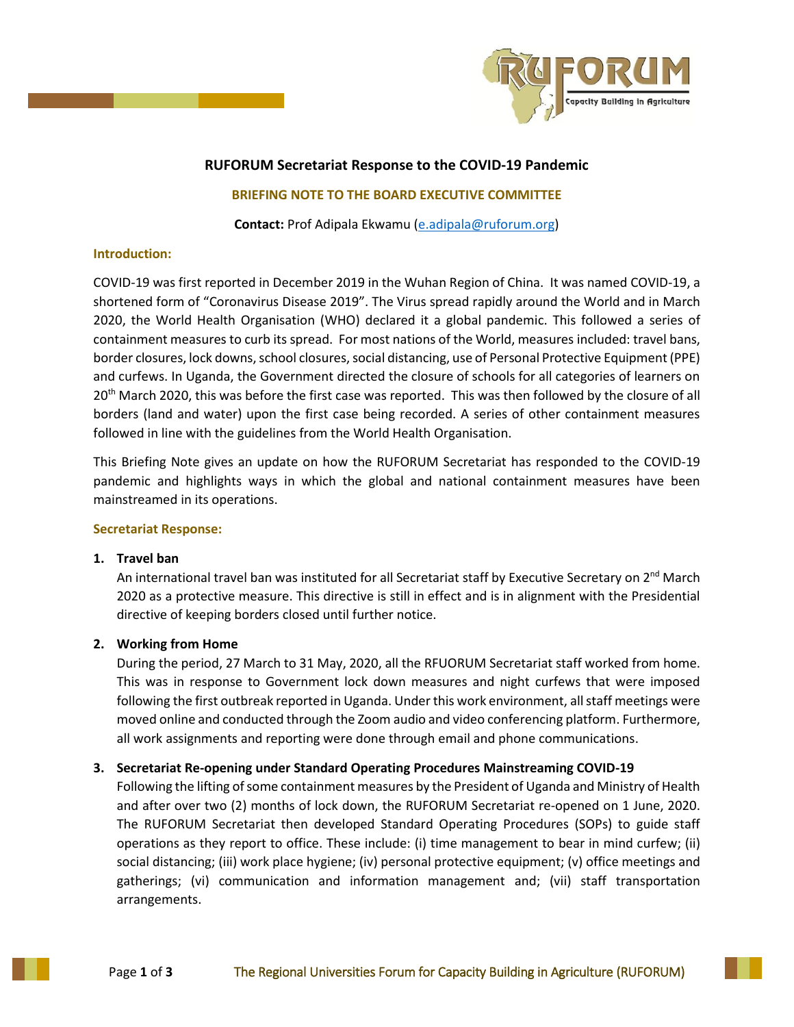

# **RUFORUM Secretariat Response to the COVID-19 Pandemic**

#### **BRIEFING NOTE TO THE BOARD EXECUTIVE COMMITTEE**

**Contact:** Prof Adipala Ekwamu [\(e.adipala@ruforum.org\)](mailto:e.adipala@ruforum.org)

#### **Introduction:**

COVID-19 was first reported in December 2019 in the Wuhan Region of China. It was named COVID-19, a shortened form of "Coronavirus Disease 2019". The Virus spread rapidly around the World and in March 2020, the World Health Organisation (WHO) declared it a global pandemic. This followed a series of containment measures to curb its spread. For most nations of the World, measures included: travel bans, border closures, lock downs, school closures, social distancing, use of Personal Protective Equipment (PPE) and curfews. In Uganda, the Government directed the closure of schools for all categories of learners on 20<sup>th</sup> March 2020, this was before the first case was reported. This was then followed by the closure of all borders (land and water) upon the first case being recorded. A series of other containment measures followed in line with the guidelines from the World Health Organisation.

This Briefing Note gives an update on how the RUFORUM Secretariat has responded to the COVID-19 pandemic and highlights ways in which the global and national containment measures have been mainstreamed in its operations.

#### **Secretariat Response:**

# **1. Travel ban**

An international travel ban was instituted for all Secretariat staff by Executive Secretary on 2<sup>nd</sup> March 2020 as a protective measure. This directive is still in effect and is in alignment with the Presidential directive of keeping borders closed until further notice.

# **2. Working from Home**

During the period, 27 March to 31 May, 2020, all the RFUORUM Secretariat staff worked from home. This was in response to Government lock down measures and night curfews that were imposed following the first outbreak reported in Uganda. Under this work environment, all staff meetings were moved online and conducted through the Zoom audio and video conferencing platform. Furthermore, all work assignments and reporting were done through email and phone communications.

# **3. Secretariat Re-opening under Standard Operating Procedures Mainstreaming COVID-19**

Following the lifting of some containment measures by the President of Uganda and Ministry of Health and after over two (2) months of lock down, the RUFORUM Secretariat re-opened on 1 June, 2020. The RUFORUM Secretariat then developed Standard Operating Procedures (SOPs) to guide staff operations as they report to office. These include: (i) time management to bear in mind curfew; (ii) social distancing; (iii) work place hygiene; (iv) personal protective equipment; (v) office meetings and gatherings; (vi) communication and information management and; (vii) staff transportation arrangements.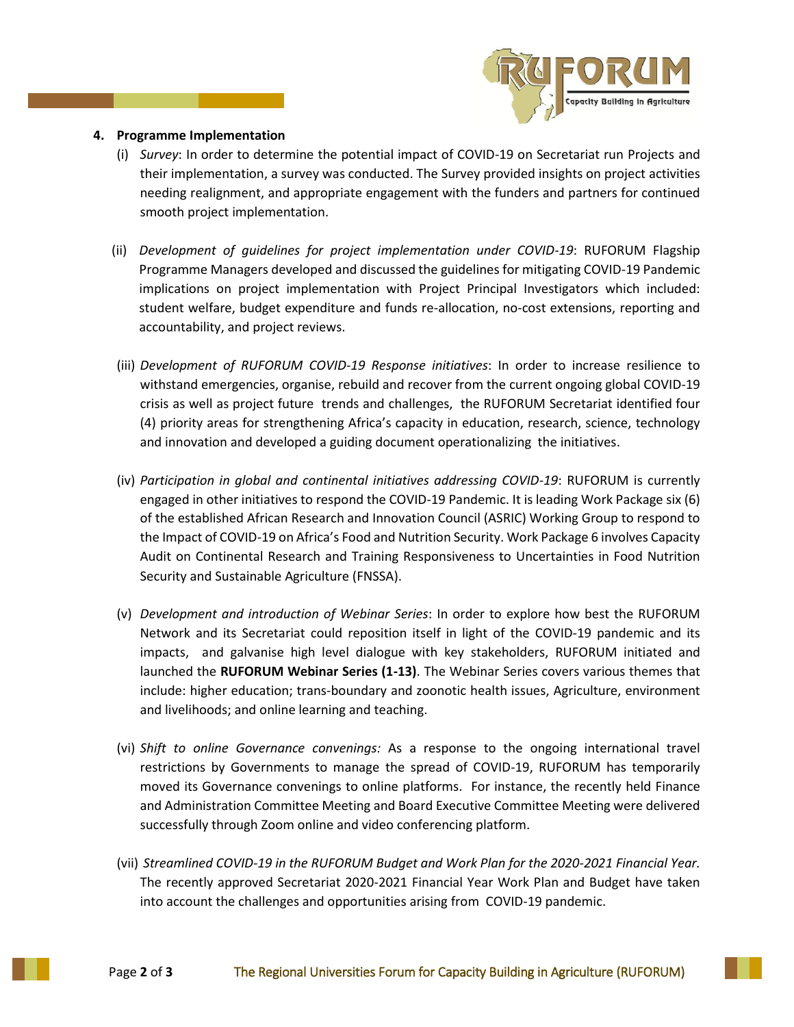

#### **4. Programme Implementation**

- (i) *Survey*: In order to determine the potential impact of COVID-19 on Secretariat run Projects and their implementation, a survey was conducted. The Survey provided insights on project activities needing realignment, and appropriate engagement with the funders and partners for continued smooth project implementation.
- (ii) *Development of guidelines for project implementation under COVID-19*: RUFORUM Flagship Programme Managers developed and discussed the guidelines for mitigating COVID-19 Pandemic implications on project implementation with Project Principal Investigators which included: student welfare, budget expenditure and funds re-allocation, no-cost extensions, reporting and accountability, and project reviews.
- (iii) *Development of RUFORUM COVID-19 Response initiatives*: In order to increase resilience to withstand emergencies, organise, rebuild and recover from the current ongoing global COVID-19 crisis as well as project future trends and challenges, the RUFORUM Secretariat identified four (4) priority areas for strengthening Africa's capacity in education, research, science, technology and innovation and developed a guiding document operationalizing the initiatives.
- (iv) *Participation in global and continental initiatives addressing COVID-19*: RUFORUM is currently engaged in other initiatives to respond the COVID-19 Pandemic. It is leading Work Package six (6) of the established African Research and Innovation Council (ASRIC) Working Group to respond to the Impact of COVID-19 on Africa's Food and Nutrition Security. Work Package 6 involves Capacity Audit on Continental Research and Training Responsiveness to Uncertainties in Food Nutrition Security and Sustainable Agriculture (FNSSA).
- (v) *Development and introduction of Webinar Series*: In order to explore how best the RUFORUM Network and its Secretariat could reposition itself in light of the COVID-19 pandemic and its impacts, and galvanise high level dialogue with key stakeholders, RUFORUM initiated and launched the **RUFORUM Webinar Series (1-13)**. The Webinar Series covers various themes that include: higher education; trans-boundary and zoonotic health issues, Agriculture, environment and livelihoods; and online learning and teaching.
- (vi) *Shift to online Governance convenings:* As a response to the ongoing international travel restrictions by Governments to manage the spread of COVID-19, RUFORUM has temporarily moved its Governance convenings to online platforms. For instance, the recently held Finance and Administration Committee Meeting and Board Executive Committee Meeting were delivered successfully through Zoom online and video conferencing platform.
- (vii) *Streamlined COVID-19 in the RUFORUM Budget and Work Plan for the 2020-2021 Financial Year.*  The recently approved Secretariat 2020-2021 Financial Year Work Plan and Budget have taken into account the challenges and opportunities arising from COVID-19 pandemic.